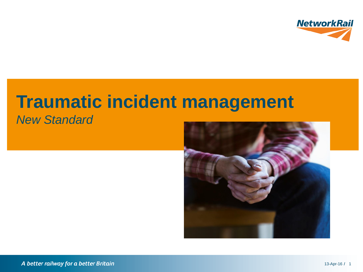

# **Traumatic incident management**

*New Standard*

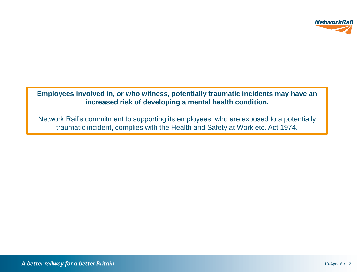

#### **Employees involved in, or who witness, potentially traumatic incidents may have an increased risk of developing a mental health condition.**

Network Rail's commitment to supporting its employees, who are exposed to a potentially traumatic incident, complies with the Health and Safety at Work etc. Act 1974.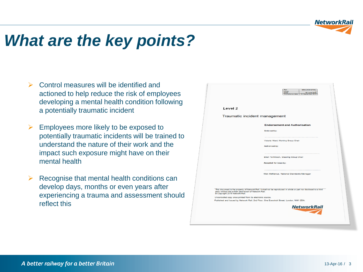

### *What are the key points?*

- Control measures will be identified and actioned to help reduce the risk of employees developing a mental health condition following a potentially traumatic incident
- $\triangleright$  Employees more likely to be exposed to potentially traumatic incidents will be trained to understand the nature of their work and the impact such exposure might have on their mental health
- $\triangleright$  Recognise that mental health conditions can develop days, months or even years after experiencing a trauma and assessment should reflect this

|                                                                                         | Ref<br><b>NR/L2/OH S/TBC</b><br><b>Tssue</b><br>Date<br><b>35 June 2016</b><br>Compliance date:<br>03 September 2016 |  |
|-----------------------------------------------------------------------------------------|----------------------------------------------------------------------------------------------------------------------|--|
| Level 2                                                                                 |                                                                                                                      |  |
| Traumatic incident management                                                           |                                                                                                                      |  |
|                                                                                         | <b>Endorsement and Authorisation</b>                                                                                 |  |
|                                                                                         | <b>Endorsed by:</b>                                                                                                  |  |
|                                                                                         | Victoria Ward, Working Group Chair                                                                                   |  |
|                                                                                         | <b>Authorised by:</b>                                                                                                |  |
|                                                                                         |                                                                                                                      |  |
|                                                                                         | Brian Tomlinson, Steering Group Chair<br>Accepted for issue by:                                                      |  |
|                                                                                         | Mick McManus, National Standards Manager                                                                             |  |
|                                                                                         |                                                                                                                      |  |
| party without the written permission of Network Rail.<br>@ Copyright 2016 Network Rail. | This document is the property of Network Rail. It shall not be reproduced in whole or part nor disclosed to a third  |  |
| Uncontrolled copy once printed from its electronic source.                              | Published and Issued by Network Rail, 2nd Floor, One Eversholt Street, London, NW1 2DN.                              |  |
|                                                                                         | <b>NetworkRail</b>                                                                                                   |  |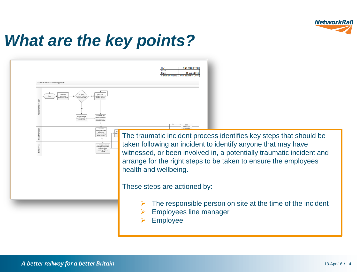

#### *What are the key points?*

| Fraumatic incident screening process<br>5.1.1 Escort<br>5.1 Assess<br>Exposure to<br>potentially<br>mployee's ability!<br>sployee home an<br>umatic incider<br>terinue in work<br>maintain contact<br>5.1.3 Inform line<br>Inform Employe<br>nanager of incident<br>hat that are able t<br>and outcome of<br>stay at work<br>initial assessment | NR/L2/OHS/TBC<br>Ref:<br>Issue:<br>Date:<br>05 June 2016<br>Compliance date: 03 September 2016                                                                                                                                                                                                                                 |
|-------------------------------------------------------------------------------------------------------------------------------------------------------------------------------------------------------------------------------------------------------------------------------------------------------------------------------------------------|--------------------------------------------------------------------------------------------------------------------------------------------------------------------------------------------------------------------------------------------------------------------------------------------------------------------------------|
| 5.1.4 Inform<br>mployee that the<br>will have an<br>informal meeting<br>vithin 96 hour:<br>5.1.6 Employee attend<br>neeting and is provider<br>with information<br>regarding additional<br>support                                                                                                                                              | 5.2.1<br>Refer to OH<br>The traumatic incident process identifies key steps that should be<br>taken following an incident to identify anyone that may have<br>witnessed, or been involved in, a potentially traumatic incident and<br>arrange for the right steps to be taken to ensure the employees<br>health and wellbeing. |
|                                                                                                                                                                                                                                                                                                                                                 | These steps are actioned by:<br>The responsible person on site at the time of the incident<br><b>Employees line manager</b><br><b>Employee</b>                                                                                                                                                                                 |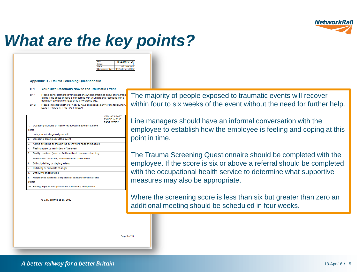

## *What are the key points?*

| 1.2/OHS/TRC |
|-------------|
|             |
|             |
|             |

Appendix B - Trauma Screening Questionnaire

#### **B** 1 Your Own Reactions Now to the Traumatic Event

- Please consider the following reactions which sometimes occur after a traun  $1811$ event. This questionnaire is concerned with your personal reactions to the traumatic event which happened a few weeks ago.
- $B.1.2$ Please indicate whether or not you have experienced any of the following A LEAST TWICE IN THE PAST WEEK:

|        |                                                             | <b>YES. AT LEAST</b><br>TWICE IN THE<br><b>PAST WEEK</b> |
|--------|-------------------------------------------------------------|----------------------------------------------------------|
| 1.     | Upsetting thoughts or memories about the event that have    |                                                          |
| come   |                                                             |                                                          |
|        | into your mind against your will                            |                                                          |
| 2.     | Upsetting dreams about the event                            |                                                          |
| 3.     | Acting or feeling as though the event were happening again  |                                                          |
| 4.     | Feeling upset by reminders of the event                     |                                                          |
| 5.     | Bodily reactions (such as fast heartbeat, stomach churning, |                                                          |
|        | sweatiness, dizziness) when reminded of the event           |                                                          |
| 6.     | Difficulty falling or staying asleep                        |                                                          |
| 7.     | Irritability or outbursts of anger                          |                                                          |
| 8.     | Difficulty concentrating                                    |                                                          |
| 9.     | Heightened awareness of potential dangers to yourself and   |                                                          |
| others |                                                             |                                                          |
|        | 10. Being jumpy or being startled at something unexpected   |                                                          |

© C.R. Brewin et al., 2002

The majority of people exposed to traumatic events will recover within four to six weeks of the event without the need for further help.

Line managers should have an informal conversation with the employee to establish how the employee is feeling and coping at this point in time.

The Trauma Screening Questionnaire should be completed with the employee. If the score is six or above a referral should be completed with the occupational health service to determine what supportive measures may also be appropriate.

Where the screening score is less than six but greater than zero an additional meeting should be scheduled in four weeks.

Page 9 of 13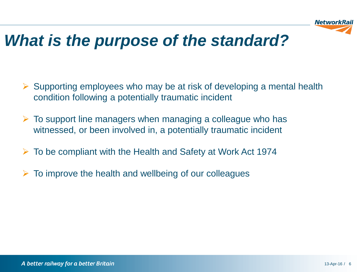

#### *What is the purpose of the standard?*

- $\triangleright$  Supporting employees who may be at risk of developing a mental health condition following a potentially traumatic incident
- $\triangleright$  To support line managers when managing a colleague who has witnessed, or been involved in, a potentially traumatic incident
- To be compliant with the Health and Safety at Work Act 1974
- To improve the health and wellbeing of our colleagues